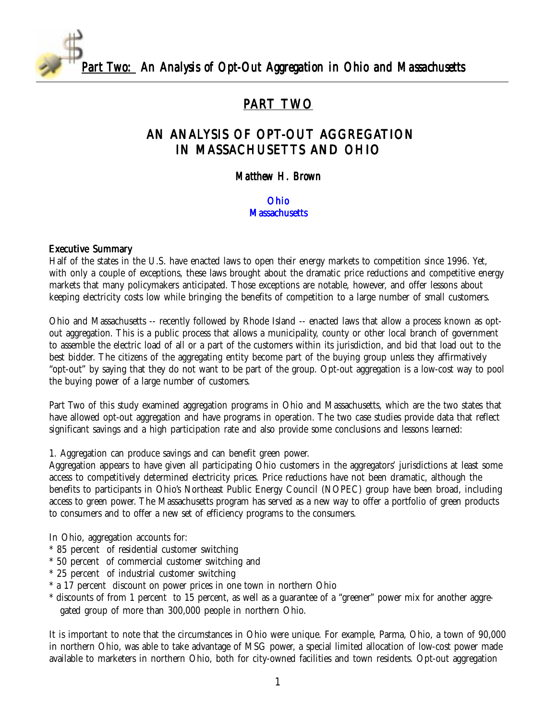*Part Two: An Analysis of Opt-Out Aggregation in Ohio and Massachusetts* 

# PART TWO

# AN ANALYSIS OF OPT-OUT AGGREGATION IN MASSACHUSETTS AND OHIO

#### *Matthew H. Brown*

#### [Ohio](#page-4-0) **[Massachusetts](#page-6-0)**

#### Executive Summary

Half of the states in the U.S. have enacted laws to open their energy markets to competition since 1996. Yet, with only a couple of exceptions, these laws brought about the dramatic price reductions and competitive energy markets that many policymakers anticipated. Those exceptions are notable, however, and offer lessons about keeping electricity costs low while bringing the benefits of competition to a large number of small customers.

Ohio and Massachusetts -- recently followed by Rhode Island -- enacted laws that allow a process known as optout aggregation. This is a public process that allows a municipality, county or other local branch of government to assemble the electric load of all or a part of the customers within its jurisdiction, and bid that load out to the best bidder. The citizens of the aggregating entity become part of the buying group unless they affirmatively "opt-out" by saying that they do not want to be part of the group. Opt-out aggregation is a low-cost way to pool the buying power of a large number of customers.

Part Two of this study examined aggregation programs in Ohio and Massachusetts, which are the two states that have allowed opt-out aggregation and have programs in operation. The two case studies provide data that reflect significant savings and a high participation rate and also provide some conclusions and lessons learned:

1. Aggregation can produce savings and can benefit green power.

Aggregation appears to have given all participating Ohio customers in the aggregators' jurisdictions at least some access to competitively determined electricity prices. Price reductions have not been dramatic, although the benefits to participants in Ohio's Northeast Public Energy Council (NOPEC) group have been broad, including access to green power. The Massachusetts program has served as a new way to offer a portfolio of green products to consumers and to offer a new set of efficiency programs to the consumers.

In Ohio, aggregation accounts for:

- \* 85 percent of residential customer switching
- \* 50 percent of commercial customer switching and
- \* 25 percent of industrial customer switching
- \* a 17 percent discount on power prices in one town in northern Ohio
- \* discounts of from 1 percent to 15 percent, as well as a guarantee of a "greener" power mix for another aggregated group of more than 300,000 people in northern Ohio.

It is important to note that the circumstances in Ohio were unique. For example, Parma, Ohio, a town of 90,000 in northern Ohio, was able to take advantage of MSG power, a special limited allocation of low-cost power made available to marketers in northern Ohio, both for city-owned facilities and town residents. Opt-out aggregation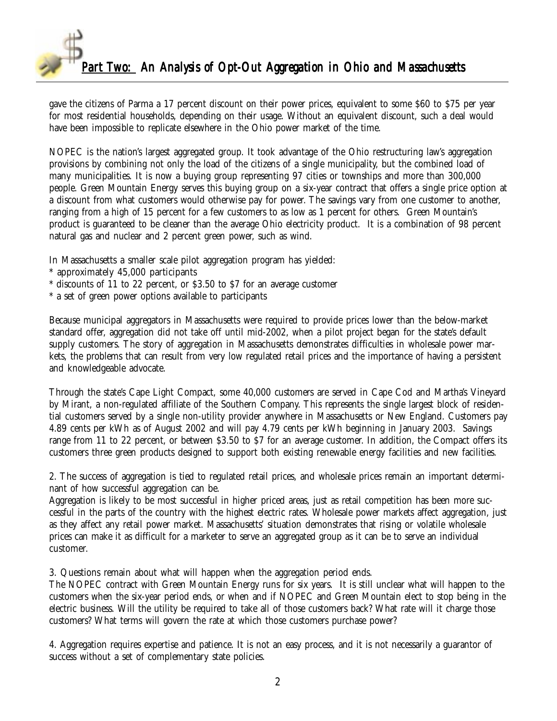

gave the citizens of Parma a 17 percent discount on their power prices, equivalent to some \$60 to \$75 per year for most residential households, depending on their usage. Without an equivalent discount, such a deal would have been impossible to replicate elsewhere in the Ohio power market of the time.

NOPEC is the nation's largest aggregated group. It took advantage of the Ohio restructuring law's aggregation provisions by combining not only the load of the citizens of a single municipality, but the combined load of many municipalities. It is now a buying group representing 97 cities or townships and more than 300,000 people. Green Mountain Energy serves this buying group on a six-year contract that offers a single price option at a discount from what customers would otherwise pay for power. The savings vary from one customer to another, ranging from a high of 15 percent for a few customers to as low as 1 percent for others. Green Mountain's product is guaranteed to be cleaner than the average Ohio electricity product. It is a combination of 98 percent natural gas and nuclear and 2 percent green power, such as wind.

In Massachusetts a smaller scale pilot aggregation program has yielded:

- \* approximately 45,000 participants
- \* discounts of 11 to 22 percent, or \$3.50 to \$7 for an average customer
- \* a set of green power options available to participants

Because municipal aggregators in Massachusetts were required to provide prices lower than the below-market standard offer, aggregation did not take off until mid-2002, when a pilot project began for the state's default supply customers. The story of aggregation in Massachusetts demonstrates difficulties in wholesale power markets, the problems that can result from very low regulated retail prices and the importance of having a persistent and knowledgeable advocate.

Through the state's Cape Light Compact, some 40,000 customers are served in Cape Cod and Martha's Vineyard by Mirant, a non-regulated affiliate of the Southern Company. This represents the single largest block of residential customers served by a single non-utility provider anywhere in Massachusetts or New England. Customers pay 4.89 cents per kWh as of August 2002 and will pay 4.79 cents per kWh beginning in January 2003. Savings range from 11 to 22 percent, or between \$3.50 to \$7 for an average customer. In addition, the Compact offers its customers three green products designed to support both existing renewable energy facilities and new facilities.

2. The success of aggregation is tied to regulated retail prices, and wholesale prices remain an important determinant of how successful aggregation can be.

Aggregation is likely to be most successful in higher priced areas, just as retail competition has been more successful in the parts of the country with the highest electric rates. Wholesale power markets affect aggregation, just as they affect any retail power market. Massachusetts' situation demonstrates that rising or volatile wholesale prices can make it as difficult for a marketer to serve an aggregated group as it can be to serve an individual customer.

3. Questions remain about what will happen when the aggregation period ends.

The NOPEC contract with Green Mountain Energy runs for six years. It is still unclear what will happen to the customers when the six-year period ends, or when and if NOPEC and Green Mountain elect to stop being in the electric business. Will the utility be required to take all of those customers back? What rate will it charge those customers? What terms will govern the rate at which those customers purchase power?

4. Aggregation requires expertise and patience. It is not an easy process, and it is not necessarily a guarantor of success without a set of complementary state policies.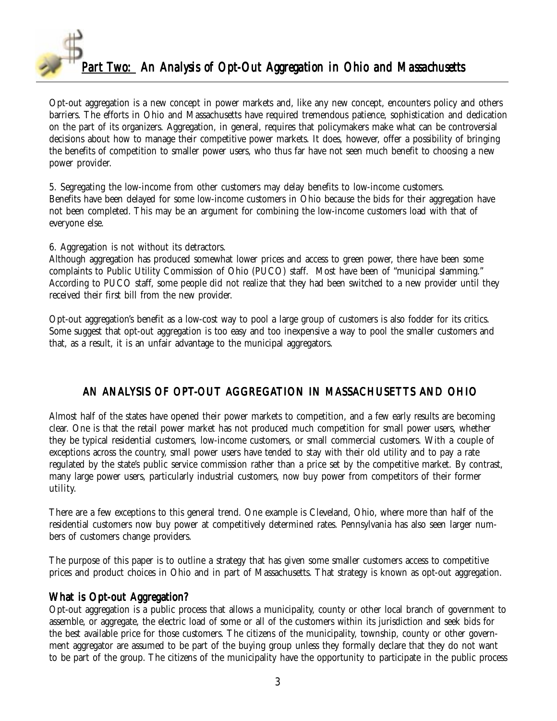

Opt-out aggregation is a new concept in power markets and, like any new concept, encounters policy and others barriers. The efforts in Ohio and Massachusetts have required tremendous patience, sophistication and dedication on the part of its organizers. Aggregation, in general, requires that policymakers make what can be controversial decisions about how to manage their competitive power markets. It does, however, offer a possibility of bringing the benefits of competition to smaller power users, who thus far have not seen much benefit to choosing a new power provider.

5. Segregating the low-income from other customers may delay benefits to low-income customers. Benefits have been delayed for some low-income customers in Ohio because the bids for their aggregation have not been completed. This may be an argument for combining the low-income customers load with that of everyone else.

6. Aggregation is not without its detractors.

Although aggregation has produced somewhat lower prices and access to green power, there have been some complaints to Public Utility Commission of Ohio (PUCO) staff. Most have been of "municipal slamming." According to PUCO staff, some people did not realize that they had been switched to a new provider until they received their first bill from the new provider.

Opt-out aggregation's benefit as a low-cost way to pool a large group of customers is also fodder for its critics. Some suggest that opt-out aggregation is too easy and too inexpensive a way to pool the smaller customers and that, as a result, it is an unfair advantage to the municipal aggregators.

## AN ANALYSIS OF OPT-OUT AGGREGATION IN MASSACHUSETTS AND OHIO

Almost half of the states have opened their power markets to competition, and a few early results are becoming clear. One is that the retail power market has not produced much competition for small power users, whether they be typical residential customers, low-income customers, or small commercial customers. With a couple of exceptions across the country, small power users have tended to stay with their old utility and to pay a rate regulated by the state's public service commission rather than a price set by the competitive market. By contrast, many large power users, particularly industrial customers, now buy power from competitors of their former utility.

There are a few exceptions to this general trend. One example is Cleveland, Ohio, where more than half of the residential customers now buy power at competitively determined rates. Pennsylvania has also seen larger numbers of customers change providers.

The purpose of this paper is to outline a strategy that has given some smaller customers access to competitive prices and product choices in Ohio and in part of Massachusetts. That strategy is known as opt-out aggregation.

## What is Opt-out Aggregation?

Opt-out aggregation is a public process that allows a municipality, county or other local branch of government to assemble, or aggregate, the electric load of some or all of the customers within its jurisdiction and seek bids for the best available price for those customers. The citizens of the municipality, township, county or other government aggregator are assumed to be part of the buying group unless they formally declare that they do not want to be part of the group. The citizens of the municipality have the opportunity to participate in the public process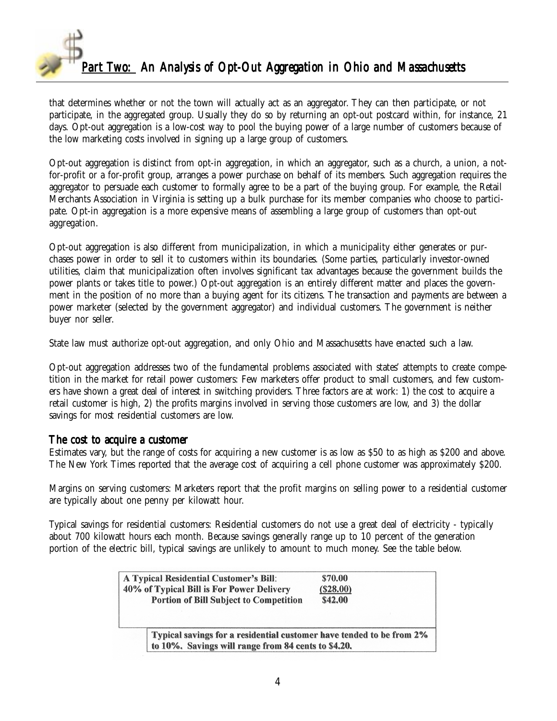

that determines whether or not the town will actually act as an aggregator. They can then participate, or not participate, in the aggregated group. Usually they do so by returning an opt-out postcard within, for instance, 21 days. Opt-out aggregation is a low-cost way to pool the buying power of a large number of customers because of the low marketing costs involved in signing up a large group of customers.

Opt-out aggregation is distinct from opt-in aggregation, in which an aggregator, such as a church, a union, a notfor-profit or a for-profit group, arranges a power purchase on behalf of its members. Such aggregation requires the aggregator to persuade each customer to formally agree to be a part of the buying group. For example, the Retail Merchants Association in Virginia is setting up a bulk purchase for its member companies who choose to participate. Opt-in aggregation is a more expensive means of assembling a large group of customers than opt-out aggregation.

Opt-out aggregation is also different from municipalization, in which a municipality either generates or purchases power in order to sell it to customers within its boundaries. (Some parties, particularly investor-owned utilities, claim that municipalization often involves significant tax advantages because the government builds the power plants or takes title to power.) Opt-out aggregation is an entirely different matter and places the government in the position of no more than a buying agent for its citizens. The transaction and payments are between a power marketer (selected by the government aggregator) and individual customers. The government is neither buyer nor seller.

State law must authorize opt-out aggregation, and only Ohio and Massachusetts have enacted such a law.

Opt-out aggregation addresses two of the fundamental problems associated with states' attempts to create competition in the market for retail power customers: Few marketers offer product to small customers, and few customers have shown a great deal of interest in switching providers. Three factors are at work: 1) the cost to acquire a retail customer is high, 2) the profits margins involved in serving those customers are low, and 3) the dollar savings for most residential customers are low.

#### The cost to acquire a customer

Estimates vary, but the range of costs for acquiring a new customer is as low as \$50 to as high as \$200 and above. The New York Times reported that the average cost of acquiring a cell phone customer was approximately \$200.

Margins on serving customers: Marketers report that the profit margins on selling power to a residential customer are typically about one penny per kilowatt hour.

Typical savings for residential customers: Residential customers do not use a great deal of electricity - typically about 700 kilowatt hours each month. Because savings generally range up to 10 percent of the generation portion of the electric bill, typical savings are unlikely to amount to much money. See the table below.

| <b>A Typical Residential Customer's Bill:</b><br>40% of Typical Bill is For Power Delivery | \$70.00<br>(S28.00) |
|--------------------------------------------------------------------------------------------|---------------------|
| <b>Portion of Bill Subject to Competition</b>                                              | <b>\$42.00</b>      |
|                                                                                            |                     |
| Typical savings for a residential customer have tended to be from 2%                       |                     |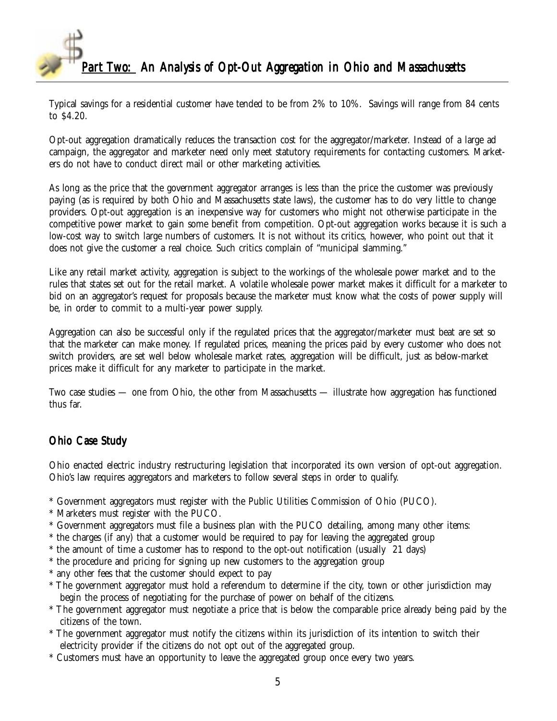<span id="page-4-0"></span>

Typical savings for a residential customer have tended to be from 2% to 10%. Savings will range from 84 cents to \$4.20.

Opt-out aggregation dramatically reduces the transaction cost for the aggregator/marketer. Instead of a large ad campaign, the aggregator and marketer need only meet statutory requirements for contacting customers. Marketers do not have to conduct direct mail or other marketing activities.

As long as the price that the government aggregator arranges is less than the price the customer was previously paying (as is required by both Ohio and Massachusetts state laws), the customer has to do very little to change providers. Opt-out aggregation is an inexpensive way for customers who might not otherwise participate in the competitive power market to gain some benefit from competition. Opt-out aggregation works because it is such a low-cost way to switch large numbers of customers. It is not without its critics, however, who point out that it does not give the customer a real choice. Such critics complain of "municipal slamming."

Like any retail market activity, aggregation is subject to the workings of the wholesale power market and to the rules that states set out for the retail market. A volatile wholesale power market makes it difficult for a marketer to bid on an aggregator's request for proposals because the marketer must know what the costs of power supply will be, in order to commit to a multi-year power supply.

Aggregation can also be successful only if the regulated prices that the aggregator/marketer must beat are set so that the marketer can make money. If regulated prices, meaning the prices paid by every customer who does not switch providers, are set well below wholesale market rates, aggregation will be difficult, just as below-market prices make it difficult for any marketer to participate in the market.

Two case studies — one from Ohio, the other from Massachusetts — illustrate how aggregation has functioned thus far.

## Ohio Case Study

Ohio enacted electric industry restructuring legislation that incorporated its own version of opt-out aggregation. Ohio's law requires aggregators and marketers to follow several steps in order to qualify.

- \* Government aggregators must register with the Public Utilities Commission of Ohio (PUCO).
- \* Marketers must register with the PUCO.
- \* Government aggregators must file a business plan with the PUCO detailing, among many other items:
- \* the charges (if any) that a customer would be required to pay for leaving the aggregated group
- \* the amount of time a customer has to respond to the opt-out notification (usually 21 days)
- \* the procedure and pricing for signing up new customers to the aggregation group
- \* any other fees that the customer should expect to pay
- \* The government aggregator must hold a referendum to determine if the city, town or other jurisdiction may begin the process of negotiating for the purchase of power on behalf of the citizens.
- \* The government aggregator must negotiate a price that is below the comparable price already being paid by the citizens of the town.
- \* The government aggregator must notify the citizens within its jurisdiction of its intention to switch their electricity provider if the citizens do not opt out of the aggregated group.
- \* Customers must have an opportunity to leave the aggregated group once every two years.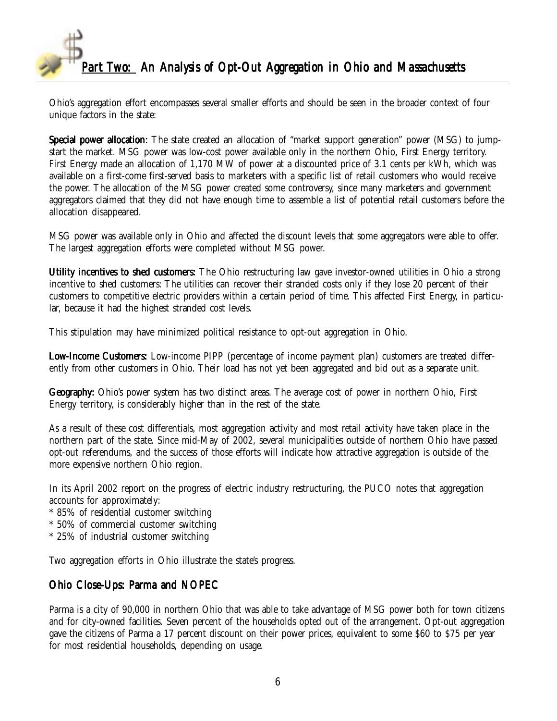

Ohio's aggregation effort encompasses several smaller efforts and should be seen in the broader context of four unique factors in the state:

Special power allocation: The state created an allocation of "market support generation" power (MSG) to jumpstart the market. MSG power was low-cost power available only in the northern Ohio, First Energy territory. First Energy made an allocation of 1,170 MW of power at a discounted price of 3.1 cents per kWh, which was available on a first-come first-served basis to marketers with a specific list of retail customers who would receive the power. The allocation of the MSG power created some controversy, since many marketers and government aggregators claimed that they did not have enough time to assemble a list of potential retail customers before the allocation disappeared.

MSG power was available only in Ohio and affected the discount levels that some aggregators were able to offer. The largest aggregation efforts were completed without MSG power.

Utility incentives to shed customers: The Ohio restructuring law gave investor-owned utilities in Ohio a strong incentive to shed customers: The utilities can recover their stranded costs only if they lose 20 percent of their customers to competitive electric providers within a certain period of time. This affected First Energy, in particular, because it had the highest stranded cost levels.

This stipulation may have minimized political resistance to opt-out aggregation in Ohio.

Low-Income Customers: Low-income PIPP (percentage of income payment plan) customers are treated differently from other customers in Ohio. Their load has not yet been aggregated and bid out as a separate unit.

Geography: Ohio's power system has two distinct areas. The average cost of power in northern Ohio, First Energy territory, is considerably higher than in the rest of the state.

As a result of these cost differentials, most aggregation activity and most retail activity have taken place in the northern part of the state. Since mid-May of 2002, several municipalities outside of northern Ohio have passed opt-out referendums, and the success of those efforts will indicate how attractive aggregation is outside of the more expensive northern Ohio region.

In its April 2002 report on the progress of electric industry restructuring, the PUCO notes that aggregation accounts for approximately:

- \* 85% of residential customer switching
- \* 50% of commercial customer switching
- \* 25% of industrial customer switching

Two aggregation efforts in Ohio illustrate the state's progress.

## Ohio Close-Ups: Parma and NOPEC

Parma is a city of 90,000 in northern Ohio that was able to take advantage of MSG power both for town citizens and for city-owned facilities. Seven percent of the households opted out of the arrangement. Opt-out aggregation gave the citizens of Parma a 17 percent discount on their power prices, equivalent to some \$60 to \$75 per year for most residential households, depending on usage.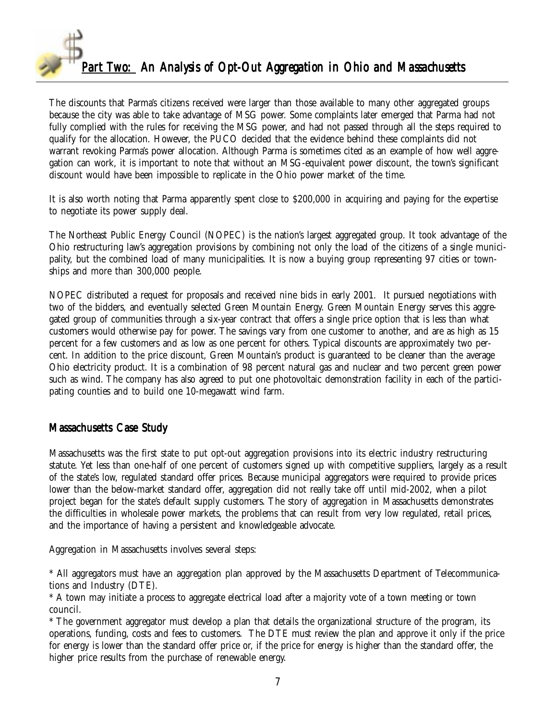<span id="page-6-0"></span>

The discounts that Parma's citizens received were larger than those available to many other aggregated groups because the city was able to take advantage of MSG power. Some complaints later emerged that Parma had not fully complied with the rules for receiving the MSG power, and had not passed through all the steps required to qualify for the allocation. However, the PUCO decided that the evidence behind these complaints did not warrant revoking Parma's power allocation. Although Parma is sometimes cited as an example of how well aggregation can work, it is important to note that without an MSG-equivalent power discount, the town's significant discount would have been impossible to replicate in the Ohio power market of the time.

It is also worth noting that Parma apparently spent close to \$200,000 in acquiring and paying for the expertise to negotiate its power supply deal.

The Northeast Public Energy Council (NOPEC) is the nation's largest aggregated group. It took advantage of the Ohio restructuring law's aggregation provisions by combining not only the load of the citizens of a single municipality, but the combined load of many municipalities. It is now a buying group representing 97 cities or townships and more than 300,000 people.

NOPEC distributed a request for proposals and received nine bids in early 2001. It pursued negotiations with two of the bidders, and eventually selected Green Mountain Energy. Green Mountain Energy serves this aggregated group of communities through a six-year contract that offers a single price option that is less than what customers would otherwise pay for power. The savings vary from one customer to another, and are as high as 15 percent for a few customers and as low as one percent for others. Typical discounts are approximately two percent. In addition to the price discount, Green Mountain's product is guaranteed to be cleaner than the average Ohio electricity product. It is a combination of 98 percent natural gas and nuclear and two percent green power such as wind. The company has also agreed to put one photovoltaic demonstration facility in each of the participating counties and to build one 10-megawatt wind farm.

## Massachusetts Case Study

Massachusetts was the first state to put opt-out aggregation provisions into its electric industry restructuring statute. Yet less than one-half of one percent of customers signed up with competitive suppliers, largely as a result of the state's low, regulated standard offer prices. Because municipal aggregators were required to provide prices lower than the below-market standard offer, aggregation did not really take off until mid-2002, when a pilot project began for the state's default supply customers. The story of aggregation in Massachusetts demonstrates the difficulties in wholesale power markets, the problems that can result from very low regulated, retail prices, and the importance of having a persistent and knowledgeable advocate.

Aggregation in Massachusetts involves several steps:

\* All aggregators must have an aggregation plan approved by the Massachusetts Department of Telecommunications and Industry (DTE).

\* A town may initiate a process to aggregate electrical load after a majority vote of a town meeting or town council.

\* The government aggregator must develop a plan that details the organizational structure of the program, its operations, funding, costs and fees to customers. The DTE must review the plan and approve it only if the price for energy is lower than the standard offer price or, if the price for energy is higher than the standard offer, the higher price results from the purchase of renewable energy.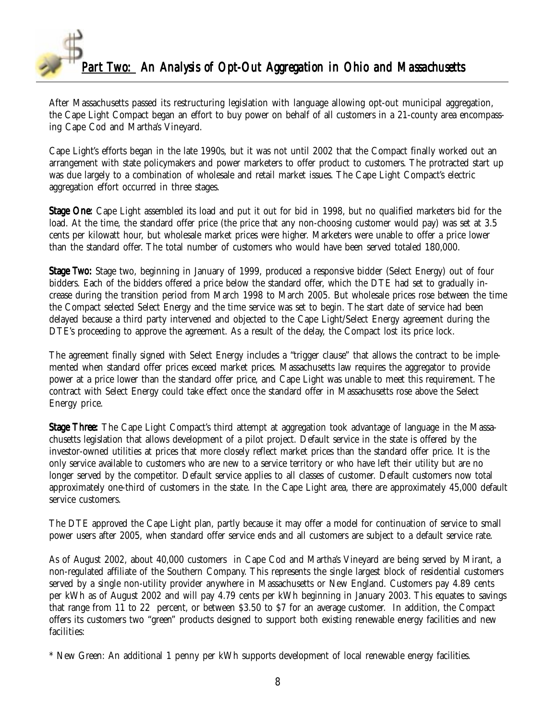

After Massachusetts passed its restructuring legislation with language allowing opt-out municipal aggregation, the Cape Light Compact began an effort to buy power on behalf of all customers in a 21-county area encompassing Cape Cod and Martha's Vineyard.

Cape Light's efforts began in the late 1990s, but it was not until 2002 that the Compact finally worked out an arrangement with state policymakers and power marketers to offer product to customers. The protracted start up was due largely to a combination of wholesale and retail market issues. The Cape Light Compact's electric aggregation effort occurred in three stages.

**Stage One:** Cape Light assembled its load and put it out for bid in 1998, but no qualified marketers bid for the load. At the time, the standard offer price (the price that any non-choosing customer would pay) was set at 3.5 cents per kilowatt hour, but wholesale market prices were higher. Marketers were unable to offer a price lower than the standard offer. The total number of customers who would have been served totaled 180,000.

**Stage Two:** Stage two, beginning in January of 1999, produced a responsive bidder (Select Energy) out of four bidders. Each of the bidders offered a price below the standard offer, which the DTE had set to gradually increase during the transition period from March 1998 to March 2005. But wholesale prices rose between the time the Compact selected Select Energy and the time service was set to begin. The start date of service had been delayed because a third party intervened and objected to the Cape Light/Select Energy agreement during the DTE's proceeding to approve the agreement. As a result of the delay, the Compact lost its price lock.

The agreement finally signed with Select Energy includes a "trigger clause" that allows the contract to be implemented when standard offer prices exceed market prices. Massachusetts law requires the aggregator to provide power at a price lower than the standard offer price, and Cape Light was unable to meet this requirement. The contract with Select Energy could take effect once the standard offer in Massachusetts rose above the Select Energy price.

**Stage Three:** The Cape Light Compact's third attempt at aggregation took advantage of language in the Massachusetts legislation that allows development of a pilot project. Default service in the state is offered by the investor-owned utilities at prices that more closely reflect market prices than the standard offer price. It is the only service available to customers who are new to a service territory or who have left their utility but are no longer served by the competitor. Default service applies to all classes of customer. Default customers now total approximately one-third of customers in the state. In the Cape Light area, there are approximately 45,000 default service customers.

The DTE approved the Cape Light plan, partly because it may offer a model for continuation of service to small power users after 2005, when standard offer service ends and all customers are subject to a default service rate.

As of August 2002, about 40,000 customers in Cape Cod and Martha's Vineyard are being served by Mirant, a non-regulated affiliate of the Southern Company. This represents the single largest block of residential customers served by a single non-utility provider anywhere in Massachusetts or New England. Customers pay 4.89 cents per kWh as of August 2002 and will pay 4.79 cents per kWh beginning in January 2003. This equates to savings that range from 11 to 22 percent, or between \$3.50 to \$7 for an average customer. In addition, the Compact offers its customers two "green" products designed to support both existing renewable energy facilities and new facilities:

\* New Green: An additional 1 penny per kWh supports development of local renewable energy facilities.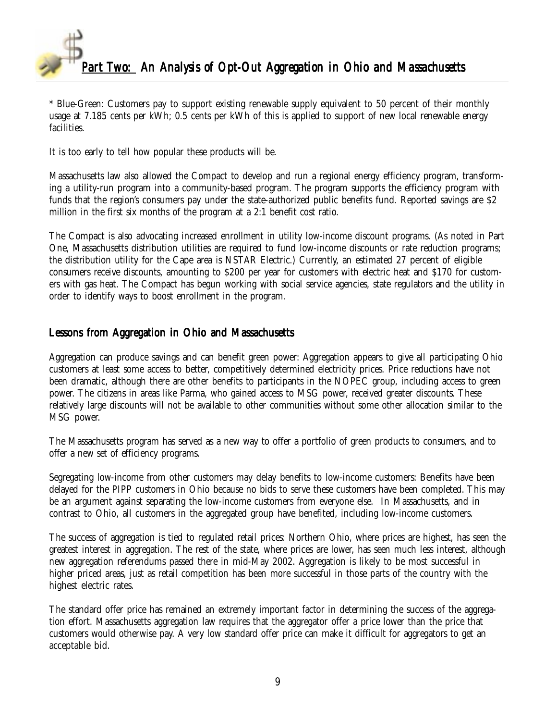

\* Blue-Green: Customers pay to support existing renewable supply equivalent to 50 percent of their monthly usage at 7.185 cents per kWh; 0.5 cents per kWh of this is applied to support of new local renewable energy facilities.

It is too early to tell how popular these products will be.

Massachusetts law also allowed the Compact to develop and run a regional energy efficiency program, transforming a utility-run program into a community-based program. The program supports the efficiency program with funds that the region's consumers pay under the state-authorized public benefits fund. Reported savings are \$2 million in the first six months of the program at a 2:1 benefit cost ratio.

The Compact is also advocating increased enrollment in utility low-income discount programs. (As noted in Part One, Massachusetts distribution utilities are required to fund low-income discounts or rate reduction programs; the distribution utility for the Cape area is NSTAR Electric.) Currently, an estimated 27 percent of eligible consumers receive discounts, amounting to \$200 per year for customers with electric heat and \$170 for customers with gas heat. The Compact has begun working with social service agencies, state regulators and the utility in order to identify ways to boost enrollment in the program.

### Lessons from Aggregation in Ohio and Massachusetts

Aggregation can produce savings and can benefit green power: Aggregation appears to give all participating Ohio customers at least some access to better, competitively determined electricity prices. Price reductions have not been dramatic, although there are other benefits to participants in the NOPEC group, including access to green power. The citizens in areas like Parma, who gained access to MSG power, received greater discounts. These relatively large discounts will not be available to other communities without some other allocation similar to the MSG power.

The Massachusetts program has served as a new way to offer a portfolio of green products to consumers, and to offer a new set of efficiency programs.

Segregating low-income from other customers may delay benefits to low-income customers: Benefits have been delayed for the PIPP customers in Ohio because no bids to serve these customers have been completed. This may be an argument against separating the low-income customers from everyone else. In Massachusetts, and in contrast to Ohio, all customers in the aggregated group have benefited, including low-income customers.

The success of aggregation is tied to regulated retail prices: Northern Ohio, where prices are highest, has seen the greatest interest in aggregation. The rest of the state, where prices are lower, has seen much less interest, although new aggregation referendums passed there in mid-May 2002. Aggregation is likely to be most successful in higher priced areas, just as retail competition has been more successful in those parts of the country with the highest electric rates.

The standard offer price has remained an extremely important factor in determining the success of the aggregation effort. Massachusetts aggregation law requires that the aggregator offer a price lower than the price that customers would otherwise pay. A very low standard offer price can make it difficult for aggregators to get an acceptable bid.